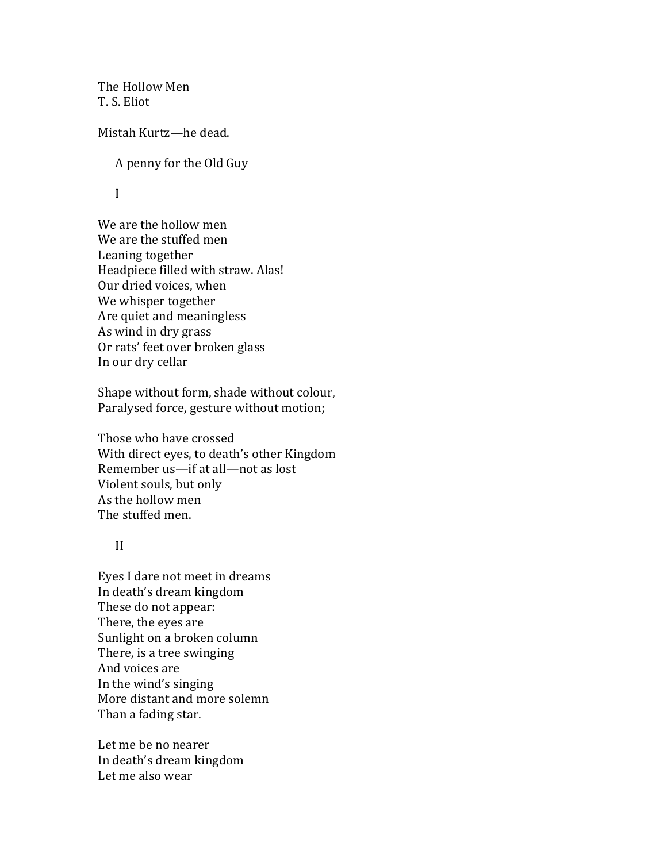The Hollow Men T. S. Eliot

Mistah Kurtz—he dead.

A penny for the Old Guy

### $\overline{1}$

We are the hollow men We are the stuffed men Leaning together Headpiece filled with straw. Alas! Our dried voices, when We whisper together Are quiet and meaningless As wind in dry grass Or rats' feet over broken glass In our dry cellar

Shape without form, shade without colour, Paralysed force, gesture without motion;

Those who have crossed With direct eyes, to death's other Kingdom Remember us-if at all-not as lost Violent souls, but only As the hollow men The stuffed men.

### $\overline{\mathbf{II}}$

Eyes I dare not meet in dreams In death's dream kingdom These do not appear: There, the eyes are Sunlight on a broken column There, is a tree swinging And voices are In the wind's singing More distant and more solemn Than a fading star.

Let me be no nearer In death's dream kingdom Let me also wear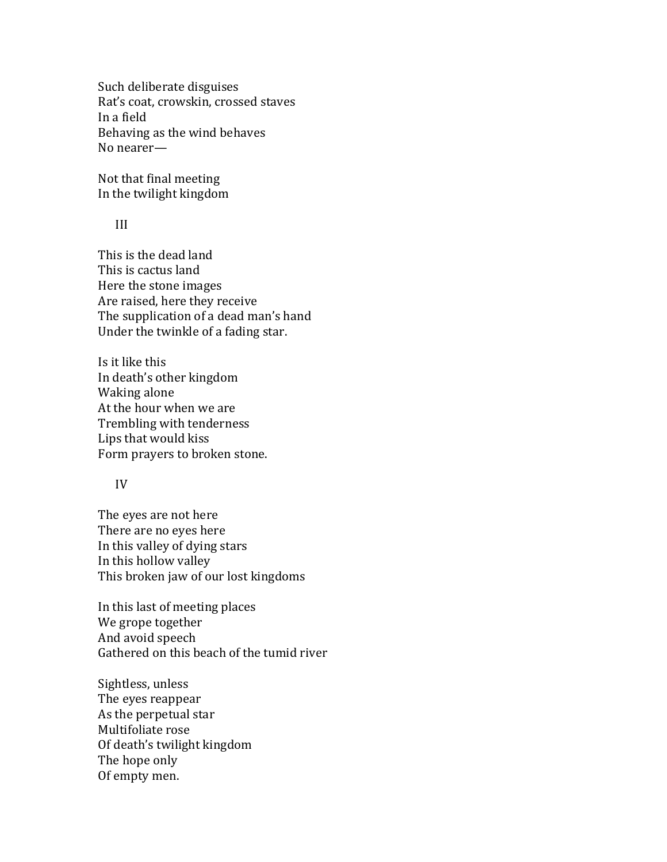Such deliberate disguises Rat's coat, crowskin, crossed staves In a field Behaving as the wind behaves No nearer—

Not that final meeting In the twilight kingdom

 $III$ 

This is the dead land This is cactus land Here the stone images Are raised, here they receive The supplication of a dead man's hand Under the twinkle of a fading star.

Is it like this In death's other kingdom Waking alone At the hour when we are Trembling with tenderness Lips that would kiss Form prayers to broken stone.

#### $IV$

The eyes are not here There are no eyes here In this valley of dying stars In this hollow valley This broken jaw of our lost kingdoms

In this last of meeting places We grope together And avoid speech Gathered on this beach of the tumid river

Sightless, unless The eyes reappear As the perpetual star Multifoliate rose Of death's twilight kingdom The hope only Of empty men.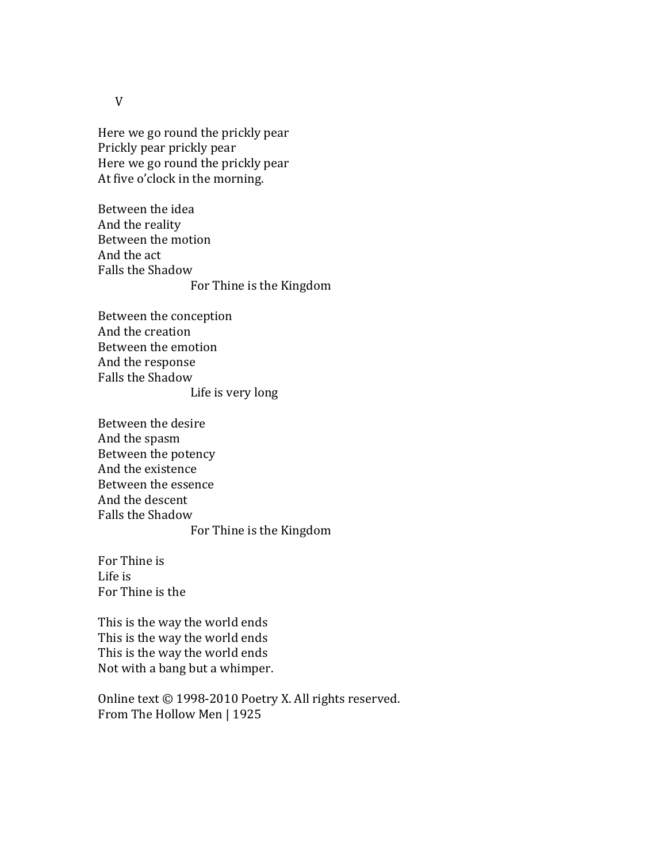$V$ 

Here we go round the prickly pear Prickly pear prickly pear Here we go round the prickly pear At five o'clock in the morning.

Between the idea And the reality Between the motion And the act Falls the Shadow **For Thine is the Kingdom** 

Between the conception And the creation Between the emotion And the response Falls the Shadow Life is very long

Between the desire And the spasm Between the potency And the existence Between the essence And the descent Falls the Shadow  $\overline{5}$  For Thine is the Kingdom

For Thine is Life is For Thine is the

This is the way the world ends This is the way the world ends This is the way the world ends Not with a bang but a whimper.

Online text © 1998-2010 Poetry X. All rights reserved. From The Hollow Men | 1925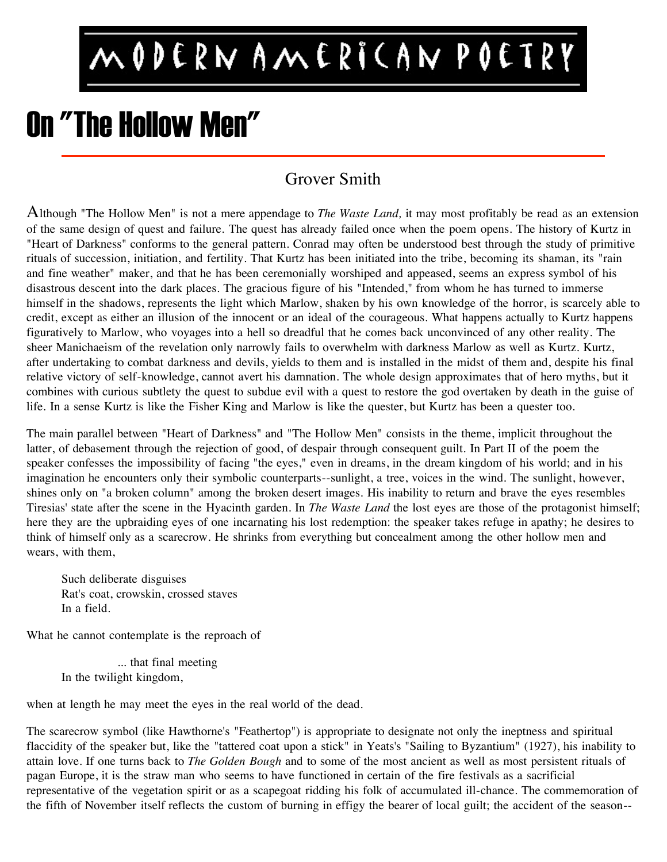# MODERNAMERICAN POETRY

## On "The Hollow Men"

## Grover Smith

Although "The Hollow Men" is not a mere appendage to *The Waste Land,* it may most profitably be read as an extension of the same design of quest and failure. The quest has already failed once when the poem opens. The history of Kurtz in "Heart of Darkness" conforms to the general pattern. Conrad may often be understood best through the study of primitive rituals of succession, initiation, and fertility. That Kurtz has been initiated into the tribe, becoming its shaman, its "rain and fine weather" maker, and that he has been ceremonially worshiped and appeased, seems an express symbol of his disastrous descent into the dark places. The gracious figure of his "Intended," from whom he has turned to immerse himself in the shadows, represents the light which Marlow, shaken by his own knowledge of the horror, is scarcely able to credit, except as either an illusion of the innocent or an ideal of the courageous. What happens actually to Kurtz happens figuratively to Marlow, who voyages into a hell so dreadful that he comes back unconvinced of any other reality. The sheer Manichaeism of the revelation only narrowly fails to overwhelm with darkness Marlow as well as Kurtz. Kurtz, after undertaking to combat darkness and devils, yields to them and is installed in the midst of them and, despite his final relative victory of self-knowledge, cannot avert his damnation. The whole design approximates that of hero myths, but it combines with curious subtlety the quest to subdue evil with a quest to restore the god overtaken by death in the guise of life. In a sense Kurtz is like the Fisher King and Marlow is like the quester, but Kurtz has been a quester too.

The main parallel between "Heart of Darkness" and "The Hollow Men" consists in the theme, implicit throughout the latter, of debasement through the rejection of good, of despair through consequent guilt. In Part II of the poem the speaker confesses the impossibility of facing "the eyes," even in dreams, in the dream kingdom of his world; and in his imagination he encounters only their symbolic counterparts--sunlight, a tree, voices in the wind. The sunlight, however, shines only on "a broken column" among the broken desert images. His inability to return and brave the eyes resembles Tiresias' state after the scene in the Hyacinth garden. In *The Waste Land* the lost eyes are those of the protagonist himself; here they are the upbraiding eyes of one incarnating his lost redemption: the speaker takes refuge in apathy; he desires to think of himself only as a scarecrow. He shrinks from everything but concealment among the other hollow men and wears, with them,

Such deliberate disguises Rat's coat, crowskin, crossed staves In a field.

What he cannot contemplate is the reproach of

 ... that final meeting In the twilight kingdom,

when at length he may meet the eyes in the real world of the dead.

The scarecrow symbol (like Hawthorne's "Feathertop") is appropriate to designate not only the ineptness and spiritual flaccidity of the speaker but, like the "tattered coat upon a stick" in Yeats's "Sailing to Byzantium" (1927), his inability to attain love. If one turns back to *The Golden Bough* and to some of the most ancient as well as most persistent rituals of pagan Europe, it is the straw man who seems to have functioned in certain of the fire festivals as a sacrificial representative of the vegetation spirit or as a scapegoat ridding his folk of accumulated ill-chance. The commemoration of the fifth of November itself reflects the custom of burning in effigy the bearer of local guilt; the accident of the season--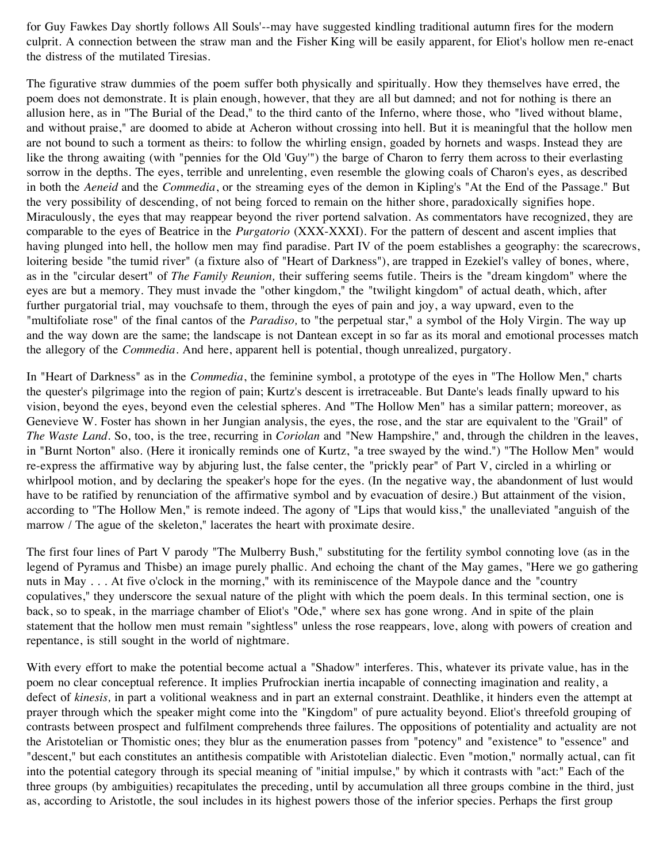for Guy Fawkes Day shortly follows All Souls'--may have suggested kindling traditional autumn fires for the modern culprit. A connection between the straw man and the Fisher King will be easily apparent, for Eliot's hollow men re-enact the distress of the mutilated Tiresias.

The figurative straw dummies of the poem suffer both physically and spiritually. How they themselves have erred, the poem does not demonstrate. It is plain enough, however, that they are all but damned; and not for nothing is there an allusion here, as in "The Burial of the Dead," to the third canto of the Inferno, where those, who "lived without blame, and without praise," are doomed to abide at Acheron without crossing into hell. But it is meaningful that the hollow men are not bound to such a torment as theirs: to follow the whirling ensign, goaded by hornets and wasps. Instead they are like the throng awaiting (with "pennies for the Old 'Guy'") the barge of Charon to ferry them across to their everlasting sorrow in the depths. The eyes, terrible and unrelenting, even resemble the glowing coals of Charon's eyes, as described in both the *Aeneid* and the *Commedia*, or the streaming eyes of the demon in Kipling's "At the End of the Passage." But the very possibility of descending, of not being forced to remain on the hither shore, paradoxically signifies hope. Miraculously, the eyes that may reappear beyond the river portend salvation. As commentators have recognized, they are comparable to the eyes of Beatrice in the *Purgatorio* (XXX-XXXI). For the pattern of descent and ascent implies that having plunged into hell, the hollow men may find paradise. Part IV of the poem establishes a geography: the scarecrows, loitering beside "the tumid river" (a fixture also of "Heart of Darkness"), are trapped in Ezekiel's valley of bones, where, as in the "circular desert" of *The Family Reunion,* their suffering seems futile. Theirs is the "dream kingdom" where the eyes are but a memory. They must invade the "other kingdom," the "twilight kingdom" of actual death, which, after further purgatorial trial, may vouchsafe to them, through the eyes of pain and joy, a way upward, even to the "multifoliate rose" of the final cantos of the *Paradiso,* to "the perpetual star," a symbol of the Holy Virgin. The way up and the way down are the same; the landscape is not Dantean except in so far as its moral and emotional processes match the allegory of the *Commedia*. And here, apparent hell is potential, though unrealized, purgatory.

In "Heart of Darkness" as in the *Commedia*, the feminine symbol, a prototype of the eyes in "The Hollow Men," charts the quester's pilgrimage into the region of pain; Kurtz's descent is irretraceable. But Dante's leads finally upward to his vision, beyond the eyes, beyond even the celestial spheres. And "The Hollow Men" has a similar pattern; moreover, as Genevieve W. Foster has shown in her Jungian analysis, the eyes, the rose, and the star are equivalent to the ''Grail" of *The Waste Land.* So, too, is the tree, recurring in *Coriolan* and "New Hampshire," and, through the children in the leaves, in "Burnt Norton" also. (Here it ironically reminds one of Kurtz, "a tree swayed by the wind.") "The Hollow Men" would re-express the affirmative way by abjuring lust, the false center, the "prickly pear" of Part V, circled in a whirling or whirlpool motion, and by declaring the speaker's hope for the eyes. (In the negative way, the abandonment of lust would have to be ratified by renunciation of the affirmative symbol and by evacuation of desire.) But attainment of the vision, according to "The Hollow Men," is remote indeed. The agony of "Lips that would kiss," the unalleviated "anguish of the marrow / The ague of the skeleton," lacerates the heart with proximate desire.

The first four lines of Part V parody "The Mulberry Bush," substituting for the fertility symbol connoting love (as in the legend of Pyramus and Thisbe) an image purely phallic. And echoing the chant of the May games, "Here we go gathering nuts in May . . . At five o'clock in the morning," with its reminiscence of the Maypole dance and the "country copulatives," they underscore the sexual nature of the plight with which the poem deals. In this terminal section, one is back, so to speak, in the marriage chamber of Eliot's "Ode," where sex has gone wrong. And in spite of the plain statement that the hollow men must remain "sightless" unless the rose reappears, love, along with powers of creation and repentance, is still sought in the world of nightmare.

With every effort to make the potential become actual a "Shadow" interferes. This, whatever its private value, has in the poem no clear conceptual reference. It implies Prufrockian inertia incapable of connecting imagination and reality, a defect of *kinesis,* in part a volitional weakness and in part an external constraint. Deathlike, it hinders even the attempt at prayer through which the speaker might come into the "Kingdom" of pure actuality beyond. Eliot's threefold grouping of contrasts between prospect and fulfilment comprehends three failures. The oppositions of potentiality and actuality are not the Aristotelian or Thomistic ones; they blur as the enumeration passes from "potency" and "existence" to "essence" and "descent," but each constitutes an antithesis compatible with Aristotelian dialectic. Even "motion," normally actual, can fit into the potential category through its special meaning of "initial impulse," by which it contrasts with "act:" Each of the three groups (by ambiguities) recapitulates the preceding, until by accumulation all three groups combine in the third, just as, according to Aristotle, the soul includes in its highest powers those of the inferior species. Perhaps the first group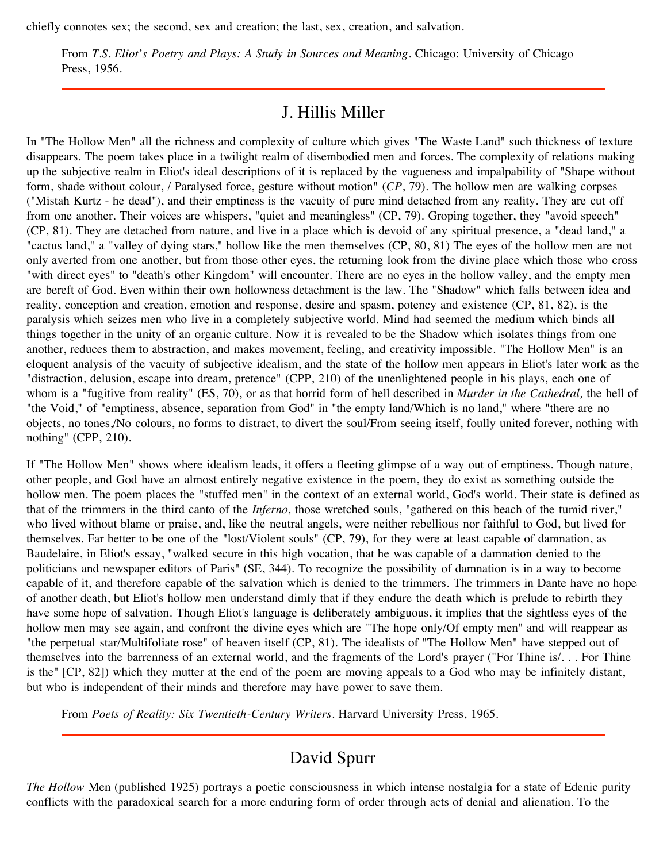chiefly connotes sex; the second, sex and creation; the last, sex, creation, and salvation.

From *T.S. Eliot's Poetry and Plays: A Study in Sources and Meaning*. Chicago: University of Chicago Press, 1956.

## J. Hillis Miller

In "The Hollow Men" all the richness and complexity of culture which gives "The Waste Land" such thickness of texture disappears. The poem takes place in a twilight realm of disembodied men and forces. The complexity of relations making up the subjective realm in Eliot's ideal descriptions of it is replaced by the vagueness and impalpability of "Shape without form, shade without colour, / Paralysed force, gesture without motion" (*CP*, 79). The hollow men are walking corpses ("Mistah Kurtz - he dead"), and their emptiness is the vacuity of pure mind detached from any reality. They are cut off from one another. Their voices are whispers, "quiet and meaningless" (CP, 79). Groping together, they "avoid speech" (CP, 81). They are detached from nature, and live in a place which is devoid of any spiritual presence, a "dead land," a "cactus land," a "valley of dying stars," hollow like the men themselves (CP, 80, 81) The eyes of the hollow men are not only averted from one another, but from those other eyes, the returning look from the divine place which those who cross "with direct eyes" to "death's other Kingdom" will encounter. There are no eyes in the hollow valley, and the empty men are bereft of God. Even within their own hollowness detachment is the law. The "Shadow" which falls between idea and reality, conception and creation, emotion and response, desire and spasm, potency and existence (CP, 81, 82), is the paralysis which seizes men who live in a completely subjective world. Mind had seemed the medium which binds all things together in the unity of an organic culture. Now it is revealed to be the Shadow which isolates things from one another, reduces them to abstraction, and makes movement, feeling, and creativity impossible. "The Hollow Men" is an eloquent analysis of the vacuity of subjective idealism, and the state of the hollow men appears in Eliot's later work as the "distraction, delusion, escape into dream, pretence" (CPP, 210) of the unenlightened people in his plays, each one of whom is a "fugitive from reality" (ES, 70), or as that horrid form of hell described in *Murder in the Cathedral,* the hell of "the Void," of "emptiness, absence, separation from God" in "the empty land/Which is no land," where "there are no objects, no tones,/No colours, no forms to distract, to divert the soul/From seeing itself, foully united forever, nothing with nothing" (CPP, 210).

If "The Hollow Men" shows where idealism leads, it offers a fleeting glimpse of a way out of emptiness. Though nature, other people, and God have an almost entirely negative existence in the poem, they do exist as something outside the hollow men. The poem places the "stuffed men" in the context of an external world, God's world. Their state is defined as that of the trimmers in the third canto of the *Inferno,* those wretched souls, "gathered on this beach of the tumid river," who lived without blame or praise, and, like the neutral angels, were neither rebellious nor faithful to God, but lived for themselves. Far better to be one of the "lost/Violent souls" (CP, 79), for they were at least capable of damnation, as Baudelaire, in Eliot's essay, "walked secure in this high vocation, that he was capable of a damnation denied to the politicians and newspaper editors of Paris" (SE, 344). To recognize the possibility of damnation is in a way to become capable of it, and therefore capable of the salvation which is denied to the trimmers. The trimmers in Dante have no hope of another death, but Eliot's hollow men understand dimly that if they endure the death which is prelude to rebirth they have some hope of salvation. Though Eliot's language is deliberately ambiguous, it implies that the sightless eyes of the hollow men may see again, and confront the divine eyes which are "The hope only/Of empty men" and will reappear as "the perpetual star/Multifoliate rose" of heaven itself (CP, 81). The idealists of "The Hollow Men" have stepped out of themselves into the barrenness of an external world, and the fragments of the Lord's prayer ("For Thine is/. . . For Thine is the" [CP, 82]) which they mutter at the end of the poem are moving appeals to a God who may be infinitely distant, but who is independent of their minds and therefore may have power to save them.

From *Poets of Reality: Six Twentieth-Century Writers*. Harvard University Press, 1965.

## David Spurr

*The Hollow* Men (published 1925) portrays a poetic consciousness in which intense nostalgia for a state of Edenic purity conflicts with the paradoxical search for a more enduring form of order through acts of denial and alienation. To the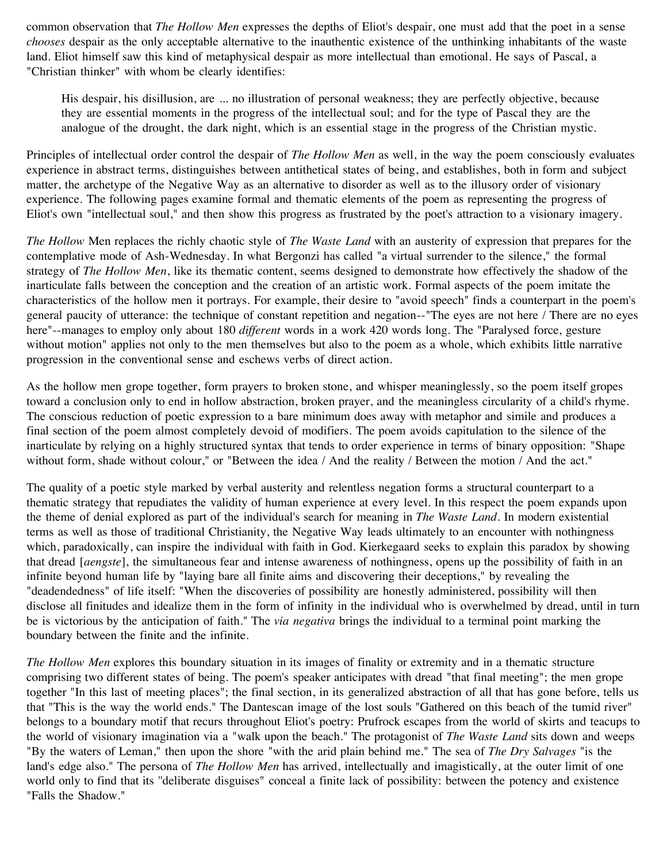common observation that *The Hollow Men* expresses the depths of Eliot's despair, one must add that the poet in a sense *chooses* despair as the only acceptable alternative to the inauthentic existence of the unthinking inhabitants of the waste land. Eliot himself saw this kind of metaphysical despair as more intellectual than emotional. He says of Pascal, a "Christian thinker" with whom be clearly identifies:

His despair, his disillusion, are ... no illustration of personal weakness; they are perfectly objective, because they are essential moments in the progress of the intellectual soul; and for the type of Pascal they are the analogue of the drought, the dark night, which is an essential stage in the progress of the Christian mystic.

Principles of intellectual order control the despair of *The Hollow Men* as well, in the way the poem consciously evaluates experience in abstract terms, distinguishes between antithetical states of being, and establishes, both in form and subject matter, the archetype of the Negative Way as an alternative to disorder as well as to the illusory order of visionary experience. The following pages examine formal and thematic elements of the poem as representing the progress of Eliot's own "intellectual soul," and then show this progress as frustrated by the poet's attraction to a visionary imagery.

*The Hollow* Men replaces the richly chaotic style of *The Waste Land* with an austerity of expression that prepares for the contemplative mode of Ash-Wednesday. In what Bergonzi has called "a virtual surrender to the silence," the formal strategy of *The Hollow Men*, like its thematic content, seems designed to demonstrate how effectively the shadow of the inarticulate falls between the conception and the creation of an artistic work. Formal aspects of the poem imitate the characteristics of the hollow men it portrays. For example, their desire to "avoid speech" finds a counterpart in the poem's general paucity of utterance: the technique of constant repetition and negation--"The eyes are not here / There are no eyes here"--manages to employ only about 180 *different* words in a work 420 words long. The "Paralysed force, gesture without motion" applies not only to the men themselves but also to the poem as a whole, which exhibits little narrative progression in the conventional sense and eschews verbs of direct action.

As the hollow men grope together, form prayers to broken stone, and whisper meaninglessly, so the poem itself gropes toward a conclusion only to end in hollow abstraction, broken prayer, and the meaningless circularity of a child's rhyme. The conscious reduction of poetic expression to a bare minimum does away with metaphor and simile and produces a final section of the poem almost completely devoid of modifiers. The poem avoids capitulation to the silence of the inarticulate by relying on a highly structured syntax that tends to order experience in terms of binary opposition: "Shape without form, shade without colour," or "Between the idea / And the reality / Between the motion / And the act."

The quality of a poetic style marked by verbal austerity and relentless negation forms a structural counterpart to a thematic strategy that repudiates the validity of human experience at every level. In this respect the poem expands upon the theme of denial explored as part of the individual's search for meaning in *The Waste Land*. In modern existential terms as well as those of traditional Christianity, the Negative Way leads ultimately to an encounter with nothingness which, paradoxically, can inspire the individual with faith in God. Kierkegaard seeks to explain this paradox by showing that dread [*aengste*], the simultaneous fear and intense awareness of nothingness, opens up the possibility of faith in an infinite beyond human life by "laying bare all finite aims and discovering their deceptions," by revealing the "deadendedness" of life itself: "When the discoveries of possibility are honestly administered, possibility will then disclose all finitudes and idealize them in the form of infinity in the individual who is overwhelmed by dread, until in turn be is victorious by the anticipation of faith." The *via negativa* brings the individual to a terminal point marking the boundary between the finite and the infinite.

*The Hollow Men* explores this boundary situation in its images of finality or extremity and in a thematic structure comprising two different states of being. The poem's speaker anticipates with dread "that final meeting"; the men grope together "In this last of meeting places"; the final section, in its generalized abstraction of all that has gone before, tells us that "This is the way the world ends." The Dantescan image of the lost souls "Gathered on this beach of the tumid river" belongs to a boundary motif that recurs throughout Eliot's poetry: Prufrock escapes from the world of skirts and teacups to the world of visionary imagination via a "walk upon the beach." The protagonist of *The Waste Land* sits down and weeps "By the waters of Leman," then upon the shore "with the arid plain behind me." The sea of *The Dry Salvages* "is the land's edge also." The persona of *The Hollow Men* has arrived, intellectually and imagistically, at the outer limit of one world only to find that its ''deliberate disguises" conceal a finite lack of possibility: between the potency and existence "Falls the Shadow."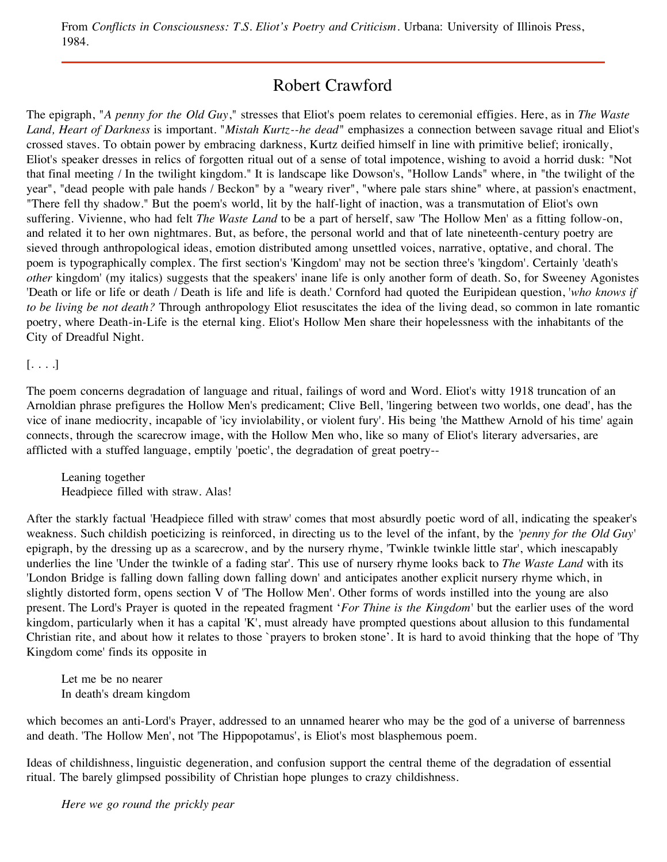From *Conflicts in Consciousness: T.S. Eliot's Poetry and Criticism*. Urbana: University of Illinois Press, 1984.

## Robert Crawford

The epigraph, "*A penny for the Old Guy*," stresses that Eliot's poem relates to ceremonial effigies. Here, as in *The Waste Land, Heart of Darkness* is important. "*Mistah Kurtz--he dead*" emphasizes a connection between savage ritual and Eliot's crossed staves. To obtain power by embracing darkness, Kurtz deified himself in line with primitive belief; ironically, Eliot's speaker dresses in relics of forgotten ritual out of a sense of total impotence, wishing to avoid a horrid dusk: "Not that final meeting / In the twilight kingdom." It is landscape like Dowson's, "Hollow Lands" where, in "the twilight of the year", "dead people with pale hands / Beckon" by a "weary river", "where pale stars shine" where, at passion's enactment, "There fell thy shadow." But the poem's world, lit by the half-light of inaction, was a transmutation of Eliot's own suffering. Vivienne, who had felt *The Waste Land* to be a part of herself, saw 'The Hollow Men' as a fitting follow-on, and related it to her own nightmares. But, as before, the personal world and that of late nineteenth-century poetry are sieved through anthropological ideas, emotion distributed among unsettled voices, narrative, optative, and choral. The poem is typographically complex. The first section's 'Kingdom' may not be section three's 'kingdom'. Certainly 'death's *other* kingdom' (my italics) suggests that the speakers' inane life is only another form of death. So, for Sweeney Agonistes 'Death or life or life or death / Death is life and life is death.' Cornford had quoted the Euripidean question, '*who knows if to be living be not death?* Through anthropology Eliot resuscitates the idea of the living dead, so common in late romantic poetry, where Death-in-Life is the eternal king. Eliot's Hollow Men share their hopelessness with the inhabitants of the City of Dreadful Night.

 $[\ldots]$ 

The poem concerns degradation of language and ritual, failings of word and Word. Eliot's witty 1918 truncation of an Arnoldian phrase prefigures the Hollow Men's predicament; Clive Bell, 'lingering between two worlds, one dead', has the vice of inane mediocrity, incapable of 'icy inviolability, or violent fury'. His being 'the Matthew Arnold of his time' again connects, through the scarecrow image, with the Hollow Men who, like so many of Eliot's literary adversaries, are afflicted with a stuffed language, emptily 'poetic', the degradation of great poetry--

Leaning together Headpiece filled with straw. Alas!

After the starkly factual 'Headpiece filled with straw' comes that most absurdly poetic word of all, indicating the speaker's weakness. Such childish poeticizing is reinforced, in directing us to the level of the infant, by the *'penny for the Old Guy*' epigraph, by the dressing up as a scarecrow, and by the nursery rhyme, 'Twinkle twinkle little star', which inescapably underlies the line 'Under the twinkle of a fading star'. This use of nursery rhyme looks back to *The Waste Land* with its 'London Bridge is falling down falling down falling down' and anticipates another explicit nursery rhyme which, in slightly distorted form, opens section V of 'The Hollow Men'. Other forms of words instilled into the young are also present. The Lord's Prayer is quoted in the repeated fragment '*For Thine is the Kingdom'* but the earlier uses of the word kingdom, particularly when it has a capital 'K', must already have prompted questions about allusion to this fundamental Christian rite, and about how it relates to those `prayers to broken stone'. It is hard to avoid thinking that the hope of 'Thy Kingdom come' finds its opposite in

Let me be no nearer In death's dream kingdom

which becomes an anti-Lord's Prayer, addressed to an unnamed hearer who may be the god of a universe of barrenness and death. 'The Hollow Men', not 'The Hippopotamus', is Eliot's most blasphemous poem.

Ideas of childishness, linguistic degeneration, and confusion support the central theme of the degradation of essential ritual. The barely glimpsed possibility of Christian hope plunges to crazy childishness.

*Here we go round the prickly pear*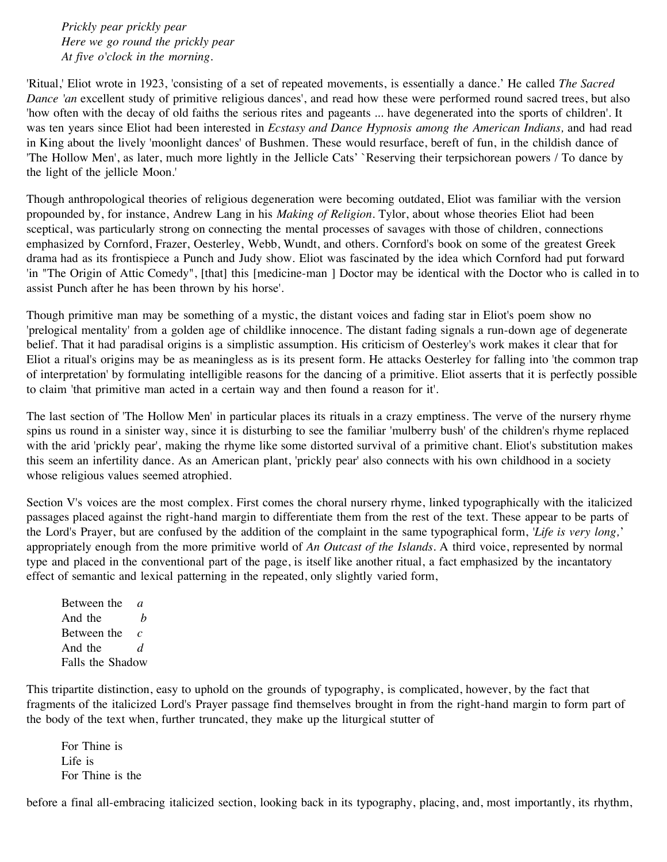*Prickly pear prickly pear Here we go round the prickly pear At five o'clock in the morning.*

'Ritual,' Eliot wrote in 1923, 'consisting of a set of repeated movements, is essentially a dance.' He called *The Sacred Dance 'an* excellent study of primitive religious dances', and read how these were performed round sacred trees, but also 'how often with the decay of old faiths the serious rites and pageants ... have degenerated into the sports of children'. It was ten years since Eliot had been interested in *Ecstasy and Dance Hypnosis among the American Indians,* and had read in King about the lively 'moonlight dances' of Bushmen. These would resurface, bereft of fun, in the childish dance of 'The Hollow Men', as later, much more lightly in the Jellicle Cats' `Reserving their terpsichorean powers / To dance by the light of the jellicle Moon.'

Though anthropological theories of religious degeneration were becoming outdated, Eliot was familiar with the version propounded by, for instance, Andrew Lang in his *Making of Religion.* Tylor, about whose theories Eliot had been sceptical, was particularly strong on connecting the mental processes of savages with those of children, connections emphasized by Cornford, Frazer, Oesterley, Webb, Wundt, and others. Cornford's book on some of the greatest Greek drama had as its frontispiece a Punch and Judy show. Eliot was fascinated by the idea which Cornford had put forward 'in "The Origin of Attic Comedy", [that] this [medicine-man ] Doctor may be identical with the Doctor who is called in to assist Punch after he has been thrown by his horse'.

Though primitive man may be something of a mystic, the distant voices and fading star in Eliot's poem show no 'prelogical mentality' from a golden age of childlike innocence. The distant fading signals a run-down age of degenerate belief. That it had paradisal origins is a simplistic assumption. His criticism of Oesterley's work makes it clear that for Eliot a ritual's origins may be as meaningless as is its present form. He attacks Oesterley for falling into 'the common trap of interpretation' by formulating intelligible reasons for the dancing of a primitive. Eliot asserts that it is perfectly possible to claim 'that primitive man acted in a certain way and then found a reason for it'.

The last section of 'The Hollow Men' in particular places its rituals in a crazy emptiness. The verve of the nursery rhyme spins us round in a sinister way, since it is disturbing to see the familiar 'mulberry bush' of the children's rhyme replaced with the arid 'prickly pear', making the rhyme like some distorted survival of a primitive chant. Eliot's substitution makes this seem an infertility dance. As an American plant, 'prickly pear' also connects with his own childhood in a society whose religious values seemed atrophied.

Section V's voices are the most complex. First comes the choral nursery rhyme, linked typographically with the italicized passages placed against the right-hand margin to differentiate them from the rest of the text. These appear to be parts of the Lord's Prayer, but are confused by the addition of the complaint in the same typographical form, *'Life is very long,*' appropriately enough from the more primitive world of *An Outcast of the Islands.* A third voice, represented by normal type and placed in the conventional part of the page, is itself like another ritual, a fact emphasized by the incantatory effect of semantic and lexical patterning in the repeated, only slightly varied form,

Between the *a* And the *b* Between the *c* And the *d* Falls the Shadow

This tripartite distinction, easy to uphold on the grounds of typography, is complicated, however, by the fact that fragments of the italicized Lord's Prayer passage find themselves brought in from the right-hand margin to form part of the body of the text when, further truncated, they make up the liturgical stutter of

For Thine is Life is For Thine is the

before a final all-embracing italicized section, looking back in its typography, placing, and, most importantly, its rhythm,